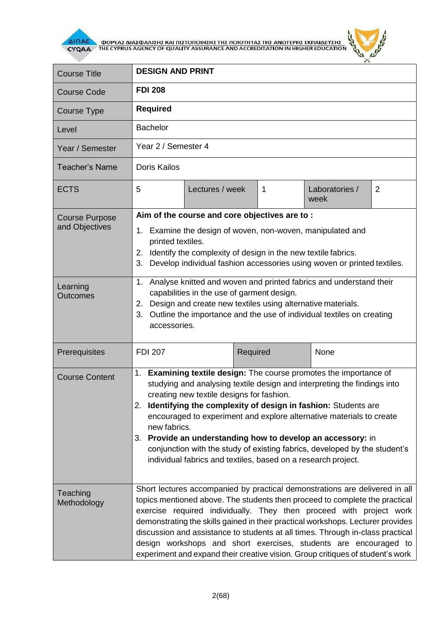

**AITIAE A OOPEAS AIAS DANISHS KAI TIISTOTOIHSHS THE TOIOTHTAS THE ANOTEPHS EKTIAIAEYSHS** 



| <b>Course Title</b>                     | <b>DESIGN AND PRINT</b>                                                                                                                                                                                                                                                                                                                                                                                                                                                                                                                                                  |                 |          |   |                        |                |
|-----------------------------------------|--------------------------------------------------------------------------------------------------------------------------------------------------------------------------------------------------------------------------------------------------------------------------------------------------------------------------------------------------------------------------------------------------------------------------------------------------------------------------------------------------------------------------------------------------------------------------|-----------------|----------|---|------------------------|----------------|
| <b>Course Code</b>                      | <b>FDI 208</b>                                                                                                                                                                                                                                                                                                                                                                                                                                                                                                                                                           |                 |          |   |                        |                |
| Course Type                             | <b>Required</b>                                                                                                                                                                                                                                                                                                                                                                                                                                                                                                                                                          |                 |          |   |                        |                |
| Level                                   | <b>Bachelor</b>                                                                                                                                                                                                                                                                                                                                                                                                                                                                                                                                                          |                 |          |   |                        |                |
| Year / Semester                         | Year 2 / Semester 4                                                                                                                                                                                                                                                                                                                                                                                                                                                                                                                                                      |                 |          |   |                        |                |
| Teacher's Name                          | Doris Kailos                                                                                                                                                                                                                                                                                                                                                                                                                                                                                                                                                             |                 |          |   |                        |                |
| <b>ECTS</b>                             | 5                                                                                                                                                                                                                                                                                                                                                                                                                                                                                                                                                                        | Lectures / week |          | 1 | Laboratories /<br>week | $\overline{2}$ |
| <b>Course Purpose</b><br>and Objectives | Aim of the course and core objectives are to:<br>1. Examine the design of woven, non-woven, manipulated and<br>printed textiles.<br>Identify the complexity of design in the new textile fabrics.<br>2.<br>Develop individual fashion accessories using woven or printed textiles.<br>3.                                                                                                                                                                                                                                                                                 |                 |          |   |                        |                |
| Learning<br>Outcomes                    | Analyse knitted and woven and printed fabrics and understand their<br>$1_{-}$<br>capabilities in the use of garment design.<br>Design and create new textiles using alternative materials.<br>2.<br>Outline the importance and the use of individual textiles on creating<br>3.<br>accessories.                                                                                                                                                                                                                                                                          |                 |          |   |                        |                |
| Prerequisites                           | <b>FDI 207</b>                                                                                                                                                                                                                                                                                                                                                                                                                                                                                                                                                           |                 | Required |   | None                   |                |
| <b>Course Content</b>                   | 1. Examining textile design: The course promotes the importance of<br>studying and analysing textile design and interpreting the findings into<br>creating new textile designs for fashion.<br>2. Identifying the complexity of design in fashion: Students are<br>encouraged to experiment and explore alternative materials to create<br>new fabrics.<br>Provide an understanding how to develop an accessory: in<br>3.<br>conjunction with the study of existing fabrics, developed by the student's<br>individual fabrics and textiles, based on a research project. |                 |          |   |                        |                |
| Teaching<br>Methodology                 | Short lectures accompanied by practical demonstrations are delivered in all<br>topics mentioned above. The students then proceed to complete the practical<br>exercise required individually. They then proceed with project work<br>demonstrating the skills gained in their practical workshops. Lecturer provides<br>discussion and assistance to students at all times. Through in-class practical<br>design workshops and short exercises, students are encouraged to<br>experiment and expand their creative vision. Group critiques of student's work             |                 |          |   |                        |                |